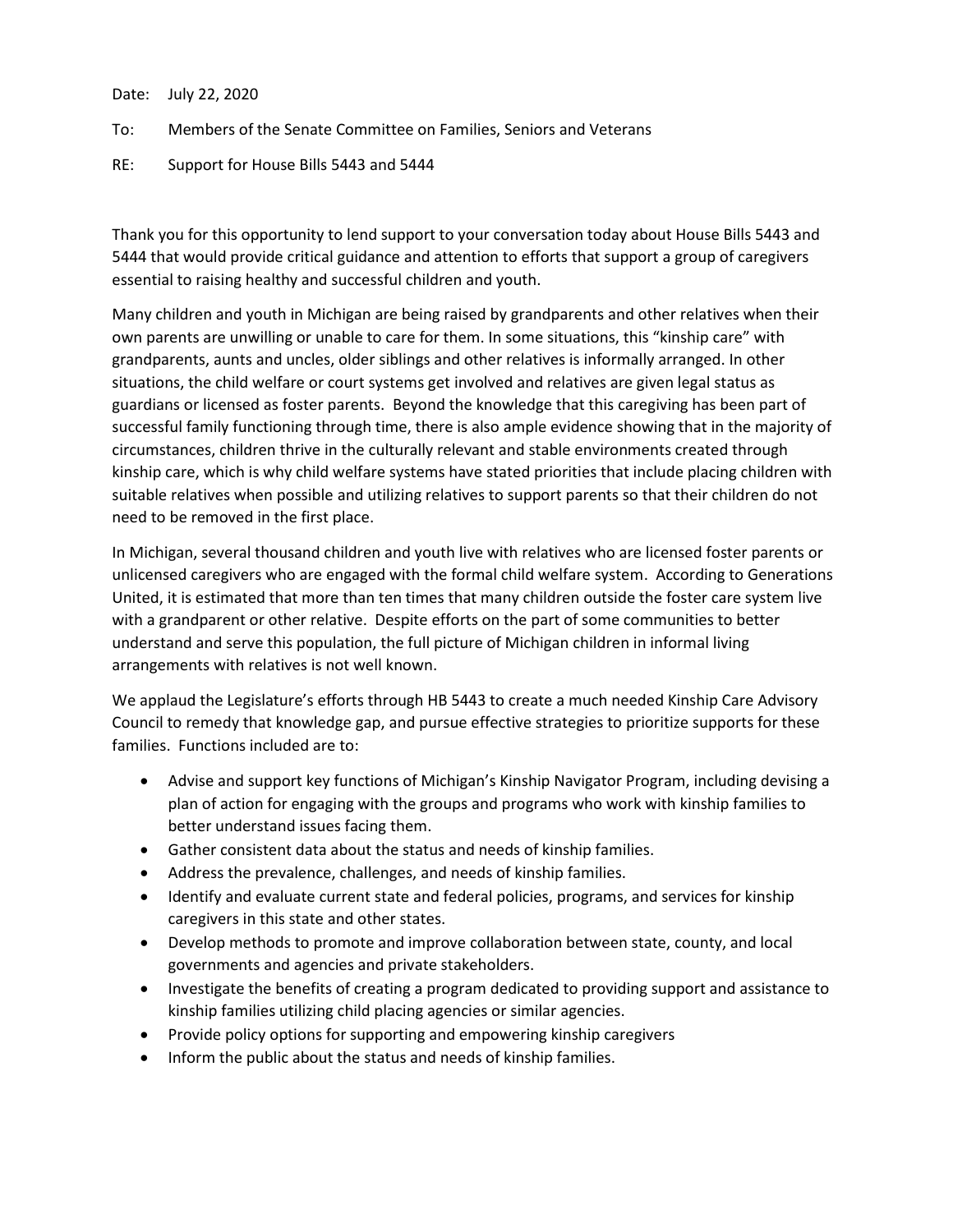Date: July 22, 2020

To: Members of the Senate Committee on Families, Seniors and Veterans

RE: Support for House Bills 5443 and 5444

Thank you for this opportunity to lend support to your conversation today about House Bills 5443 and 5444 that would provide critical guidance and attention to efforts that support a group of caregivers essential to raising healthy and successful children and youth.

Many children and youth in Michigan are being raised by grandparents and other relatives when their own parents are unwilling or unable to care for them. In some situations, this "kinship care" with grandparents, aunts and uncles, older siblings and other relatives is informally arranged. In other situations, the child welfare or court systems get involved and relatives are given legal status as guardians or licensed as foster parents. Beyond the knowledge that this caregiving has been part of successful family functioning through time, there is also ample evidence showing that in the majority of circumstances, children thrive in the culturally relevant and stable environments created through kinship care, which is why child welfare systems have stated priorities that include placing children with suitable relatives when possible and utilizing relatives to support parents so that their children do not need to be removed in the first place.

In Michigan, several thousand children and youth live with relatives who are licensed foster parents or unlicensed caregivers who are engaged with the formal child welfare system. According to Generations United, it is estimated that more than ten times that many children outside the foster care system live with a grandparent or other relative. Despite efforts on the part of some communities to better understand and serve this population, the full picture of Michigan children in informal living arrangements with relatives is not well known.

We applaud the Legislature's efforts through HB 5443 to create a much needed Kinship Care Advisory Council to remedy that knowledge gap, and pursue effective strategies to prioritize supports for these families. Functions included are to:

- Advise and support key functions of Michigan's Kinship Navigator Program, including devising a plan of action for engaging with the groups and programs who work with kinship families to better understand issues facing them.
- Gather consistent data about the status and needs of kinship families.
- Address the prevalence, challenges, and needs of kinship families.
- Identify and evaluate current state and federal policies, programs, and services for kinship caregivers in this state and other states.
- Develop methods to promote and improve collaboration between state, county, and local governments and agencies and private stakeholders.
- Investigate the benefits of creating a program dedicated to providing support and assistance to kinship families utilizing child placing agencies or similar agencies.
- Provide policy options for supporting and empowering kinship caregivers
- Inform the public about the status and needs of kinship families.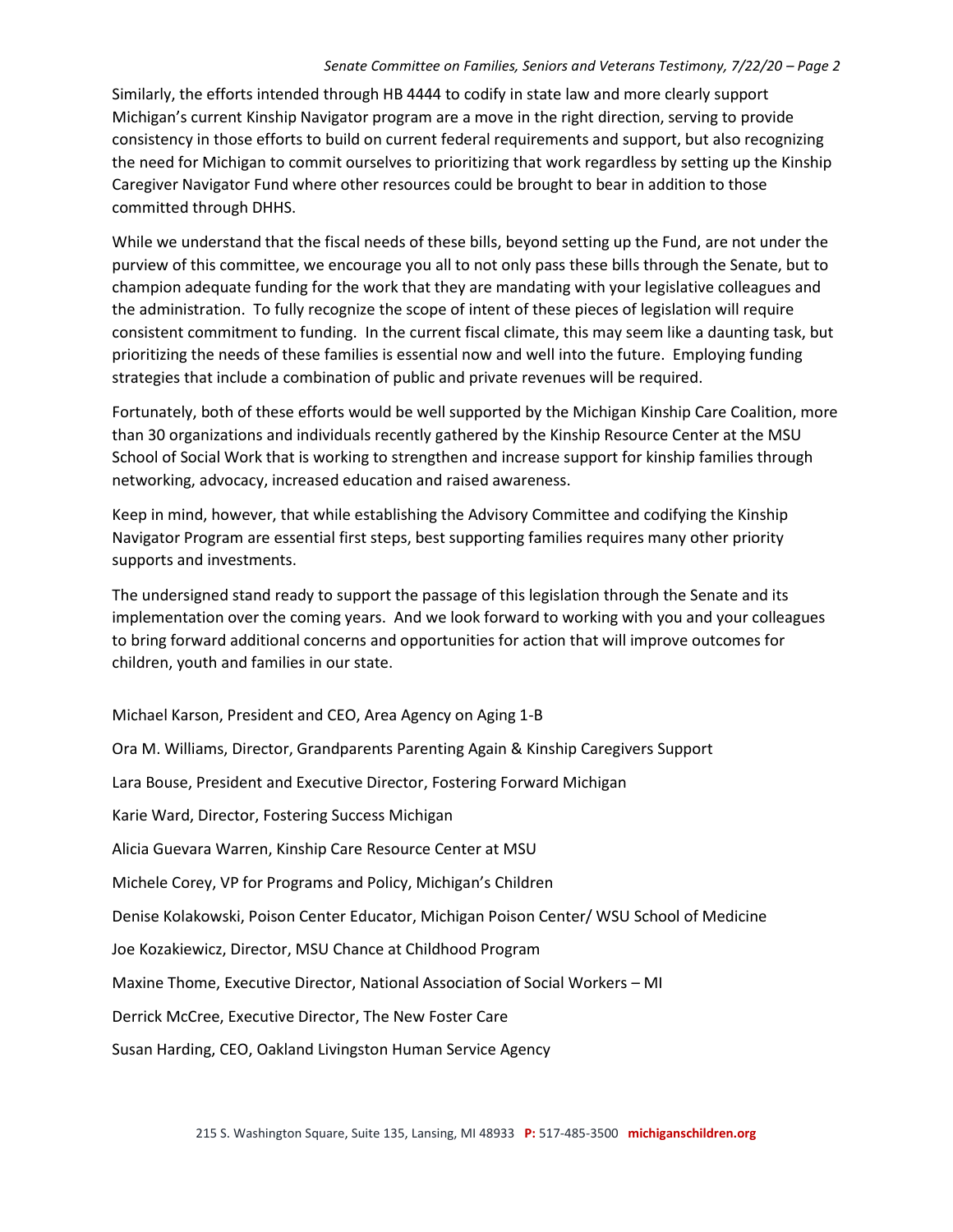## *Senate Committee on Families, Seniors and Veterans Testimony, 7/22/20 - Page 2*

Similarly, the efforts intended through HB 4444 to codify in state law and more clearly support Michigan's current Kinship Navigator program are a move in the right direction, serving to provide consistency in those efforts to build on current federal requirements and support, but also recognizing the need for Michigan to commit ourselves to prioritizing that work regardless by setting up the Kinship Caregiver Navigator Fund where other resources could be brought to bear in addition to those committed through DHHS.

While we understand that the fiscal needs of these bills, beyond setting up the Fund, are not under the purview of this committee, we encourage you all to not only pass these bills through the Senate, but to champion adequate funding for the work that they are mandating with your legislative colleagues and the administration. To fully recognize the scope of intent of these pieces of legislation will require consistent commitment to funding. In the current fiscal climate, this may seem like a daunting task, but prioritizing the needs of these families is essential now and well into the future. Employing funding strategies that include a combination of public and private revenues will be required.

Fortunately, both of these efforts would be well supported by the Michigan Kinship Care Coalition, more than 30 organizations and individuals recently gathered by the Kinship Resource Center at the MSU School of Social Work that is working to strengthen and increase support for kinship families through networking, advocacy, increased education and raised awareness.

Keep in mind, however, that while establishing the Advisory Committee and codifying the Kinship Navigator Program are essential first steps, best supporting families requires many other priority supports and investments.

The undersigned stand ready to support the passage of this legislation through the Senate and its implementation over the coming years. And we look forward to working with you and your colleagues to bring forward additional concerns and opportunities for action that will improve outcomes for children, youth and families in our state.

Michael Karson, President and CEO, Area Agency on Aging 1-B

Ora M. Williams, Director, Grandparents Parenting Again & Kinship Caregivers Support Lara Bouse, President and Executive Director, Fostering Forward Michigan Karie Ward, Director, Fostering Success Michigan Alicia Guevara Warren, Kinship Care Resource Center at MSU Michele Corey, VP for Programs and Policy, Michigan's Children Denise Kolakowski, Poison Center Educator, Michigan Poison Center/ WSU School of Medicine Joe Kozakiewicz, Director, MSU Chance at Childhood Program Maxine Thome, Executive Director, National Association of Social Workers – MI Derrick McCree, Executive Director, The New Foster Care Susan Harding, CEO, Oakland Livingston Human Service Agency